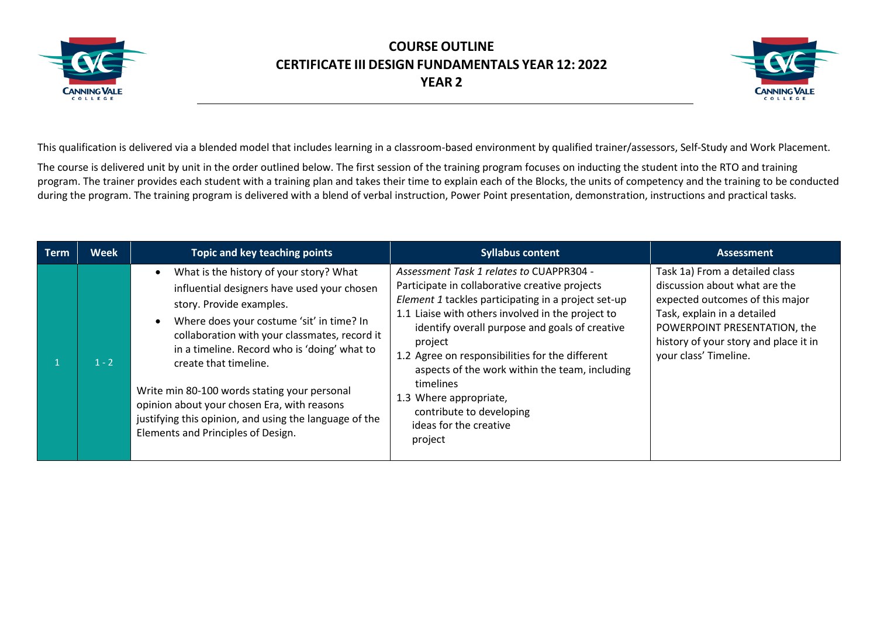



This qualification is delivered via a blended model that includes learning in a classroom-based environment by qualified trainer/assessors, Self-Study and Work Placement.

The course is delivered unit by unit in the order outlined below. The first session of the training program focuses on inducting the student into the RTO and training program. The trainer provides each student with a training plan and takes their time to explain each of the Blocks, the units of competency and the training to be conducted during the program. The training program is delivered with a blend of verbal instruction, Power Point presentation, demonstration, instructions and practical tasks.

| <b>Term</b> | <b>Week</b> | Topic and key teaching points                                                                                                                                                                                                                                                                                                                                                                                                                                                            | <b>Syllabus content</b>                                                                                                                                                                                                                                                                                                                                                                                                                                                          | <b>Assessment</b>                                                                                                                                                                                                                   |
|-------------|-------------|------------------------------------------------------------------------------------------------------------------------------------------------------------------------------------------------------------------------------------------------------------------------------------------------------------------------------------------------------------------------------------------------------------------------------------------------------------------------------------------|----------------------------------------------------------------------------------------------------------------------------------------------------------------------------------------------------------------------------------------------------------------------------------------------------------------------------------------------------------------------------------------------------------------------------------------------------------------------------------|-------------------------------------------------------------------------------------------------------------------------------------------------------------------------------------------------------------------------------------|
|             | $1 - 2$     | What is the history of your story? What<br>influential designers have used your chosen<br>story. Provide examples.<br>Where does your costume 'sit' in time? In<br>collaboration with your classmates, record it<br>in a timeline. Record who is 'doing' what to<br>create that timeline.<br>Write min 80-100 words stating your personal<br>opinion about your chosen Era, with reasons<br>justifying this opinion, and using the language of the<br>Elements and Principles of Design. | Assessment Task 1 relates to CUAPPR304 -<br>Participate in collaborative creative projects<br>Element 1 tackles participating in a project set-up<br>1.1 Liaise with others involved in the project to<br>identify overall purpose and goals of creative<br>project<br>1.2 Agree on responsibilities for the different<br>aspects of the work within the team, including<br>timelines<br>1.3 Where appropriate,<br>contribute to developing<br>ideas for the creative<br>project | Task 1a) From a detailed class<br>discussion about what are the<br>expected outcomes of this major<br>Task, explain in a detailed<br>POWERPOINT PRESENTATION, the<br>history of your story and place it in<br>your class' Timeline. |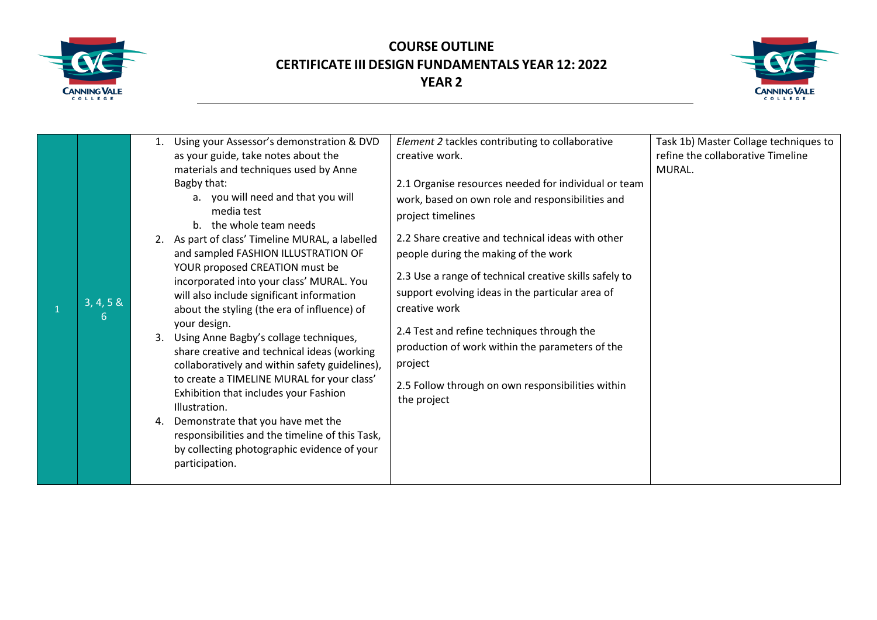



|  | 3, 4, 5 &<br>6 | 1.<br>4. | Using your Assessor's demonstration & DVD<br>as your guide, take notes about the<br>materials and techniques used by Anne<br>Bagby that:<br>a. you will need and that you will<br>media test<br>b. the whole team needs<br>2. As part of class' Timeline MURAL, a labelled<br>and sampled FASHION ILLUSTRATION OF<br>YOUR proposed CREATION must be<br>incorporated into your class' MURAL. You<br>will also include significant information<br>about the styling (the era of influence) of<br>your design.<br>3. Using Anne Bagby's collage techniques,<br>share creative and technical ideas (working<br>collaboratively and within safety guidelines),<br>to create a TIMELINE MURAL for your class'<br>Exhibition that includes your Fashion<br>Illustration.<br>Demonstrate that you have met the<br>responsibilities and the timeline of this Task,<br>by collecting photographic evidence of your<br>participation. | Element 2 tackles contributing to collaborative<br>creative work.<br>2.1 Organise resources needed for individual or team<br>work, based on own role and responsibilities and<br>project timelines<br>2.2 Share creative and technical ideas with other<br>people during the making of the work<br>2.3 Use a range of technical creative skills safely to<br>support evolving ideas in the particular area of<br>creative work<br>2.4 Test and refine techniques through the<br>production of work within the parameters of the<br>project<br>2.5 Follow through on own responsibilities within<br>the project | Task 1b) Master Collage techniques to<br>refine the collaborative Timeline<br>MURAL. |
|--|----------------|----------|----------------------------------------------------------------------------------------------------------------------------------------------------------------------------------------------------------------------------------------------------------------------------------------------------------------------------------------------------------------------------------------------------------------------------------------------------------------------------------------------------------------------------------------------------------------------------------------------------------------------------------------------------------------------------------------------------------------------------------------------------------------------------------------------------------------------------------------------------------------------------------------------------------------------------|----------------------------------------------------------------------------------------------------------------------------------------------------------------------------------------------------------------------------------------------------------------------------------------------------------------------------------------------------------------------------------------------------------------------------------------------------------------------------------------------------------------------------------------------------------------------------------------------------------------|--------------------------------------------------------------------------------------|
|--|----------------|----------|----------------------------------------------------------------------------------------------------------------------------------------------------------------------------------------------------------------------------------------------------------------------------------------------------------------------------------------------------------------------------------------------------------------------------------------------------------------------------------------------------------------------------------------------------------------------------------------------------------------------------------------------------------------------------------------------------------------------------------------------------------------------------------------------------------------------------------------------------------------------------------------------------------------------------|----------------------------------------------------------------------------------------------------------------------------------------------------------------------------------------------------------------------------------------------------------------------------------------------------------------------------------------------------------------------------------------------------------------------------------------------------------------------------------------------------------------------------------------------------------------------------------------------------------------|--------------------------------------------------------------------------------------|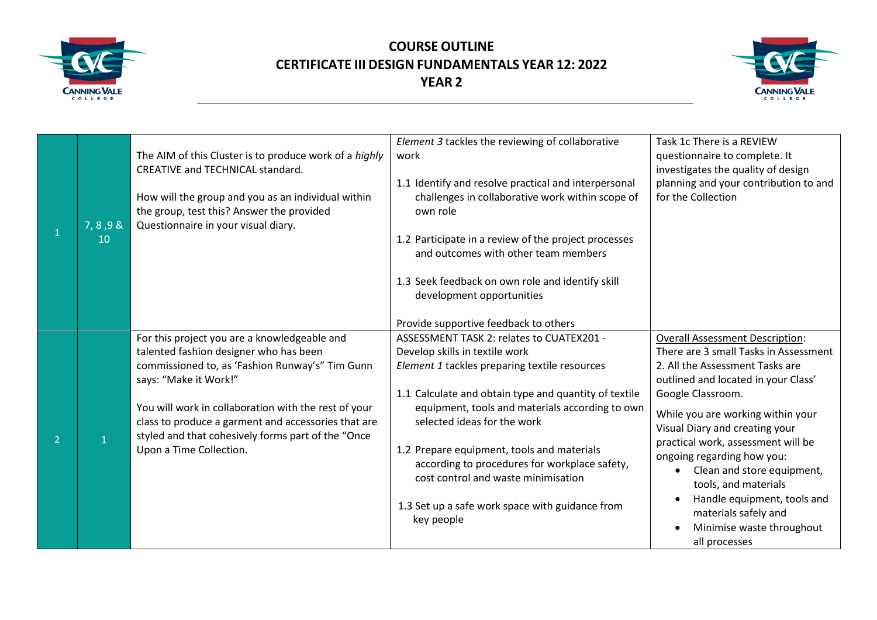



|                |           |                                                                                                                                                                   | Element 3 tackles the reviewing of collaborative                               | Task 1c There is a REVIEW                                   |
|----------------|-----------|-------------------------------------------------------------------------------------------------------------------------------------------------------------------|--------------------------------------------------------------------------------|-------------------------------------------------------------|
|                |           | The AIM of this Cluster is to produce work of a highly<br><b>CREATIVE and TECHNICAL standard.</b>                                                                 | work                                                                           | questionnaire to complete. It                               |
|                |           |                                                                                                                                                                   |                                                                                | investigates the quality of design                          |
|                |           |                                                                                                                                                                   | 1.1 Identify and resolve practical and interpersonal                           | planning and your contribution to and<br>for the Collection |
|                |           | How will the group and you as an individual within<br>the group, test this? Answer the provided                                                                   | challenges in collaborative work within scope of<br>own role                   |                                                             |
|                | 7, 8, 9 & | Questionnaire in your visual diary.                                                                                                                               |                                                                                |                                                             |
|                | 10        |                                                                                                                                                                   | 1.2 Participate in a review of the project processes                           |                                                             |
|                |           |                                                                                                                                                                   | and outcomes with other team members                                           |                                                             |
|                |           |                                                                                                                                                                   |                                                                                |                                                             |
|                |           |                                                                                                                                                                   | 1.3 Seek feedback on own role and identify skill                               |                                                             |
|                |           |                                                                                                                                                                   | development opportunities                                                      |                                                             |
|                |           |                                                                                                                                                                   |                                                                                |                                                             |
|                |           |                                                                                                                                                                   | Provide supportive feedback to others                                          |                                                             |
|                |           | For this project you are a knowledgeable and                                                                                                                      | ASSESSMENT TASK 2: relates to CUATEX201 -                                      | <b>Overall Assessment Description:</b>                      |
|                |           | talented fashion designer who has been                                                                                                                            | Develop skills in textile work                                                 | There are 3 small Tasks in Assessment                       |
|                |           | commissioned to, as 'Fashion Runway's" Tim Gunn                                                                                                                   | Element 1 tackles preparing textile resources                                  | 2. All the Assessment Tasks are                             |
|                |           | says: "Make it Work!"                                                                                                                                             |                                                                                | outlined and located in your Class'                         |
|                |           |                                                                                                                                                                   | 1.1 Calculate and obtain type and quantity of textile                          | Google Classroom.                                           |
|                |           | You will work in collaboration with the rest of your<br>class to produce a garment and accessories that are<br>styled and that cohesively forms part of the "Once | equipment, tools and materials according to own<br>selected ideas for the work | While you are working within your                           |
|                |           |                                                                                                                                                                   |                                                                                | Visual Diary and creating your                              |
| $\overline{2}$ |           | Upon a Time Collection.                                                                                                                                           | 1.2 Prepare equipment, tools and materials                                     | practical work, assessment will be                          |
|                |           |                                                                                                                                                                   | according to procedures for workplace safety,                                  | ongoing regarding how you:                                  |
|                |           |                                                                                                                                                                   | cost control and waste minimisation                                            | Clean and store equipment,                                  |
|                |           |                                                                                                                                                                   |                                                                                | tools, and materials                                        |
|                |           |                                                                                                                                                                   | 1.3 Set up a safe work space with guidance from                                | Handle equipment, tools and                                 |
|                |           |                                                                                                                                                                   | key people                                                                     | materials safely and                                        |
|                |           |                                                                                                                                                                   |                                                                                | Minimise waste throughout                                   |
|                |           |                                                                                                                                                                   |                                                                                | all processes                                               |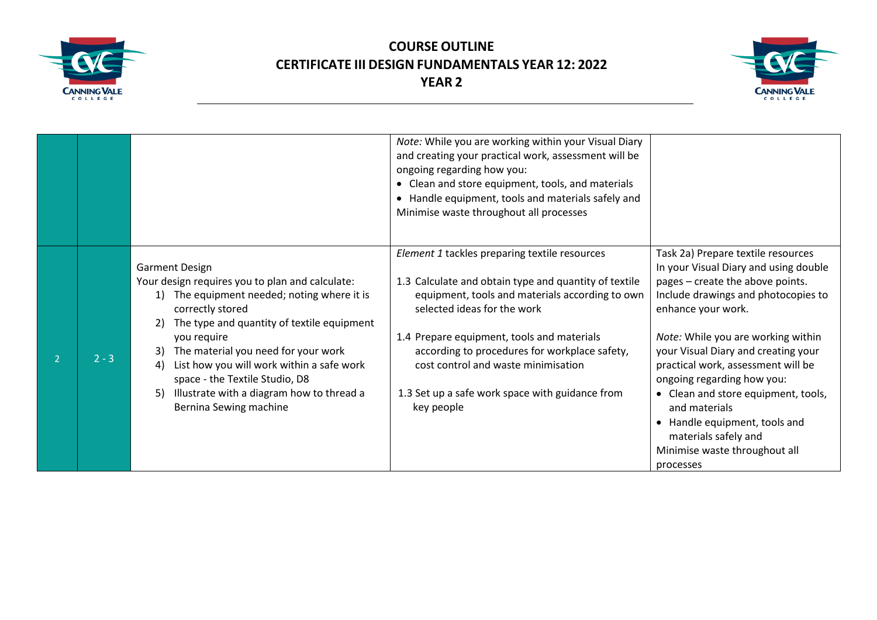



|         |                                                                                                                                                                                                                                                                                                                                                                                                                      | Note: While you are working within your Visual Diary<br>and creating your practical work, assessment will be<br>ongoing regarding how you:<br>• Clean and store equipment, tools, and materials<br>• Handle equipment, tools and materials safely and<br>Minimise waste throughout all processes                                                                                                |                                                                                                                                                                                                                                                                                                                                                                                                                                                                                              |
|---------|----------------------------------------------------------------------------------------------------------------------------------------------------------------------------------------------------------------------------------------------------------------------------------------------------------------------------------------------------------------------------------------------------------------------|-------------------------------------------------------------------------------------------------------------------------------------------------------------------------------------------------------------------------------------------------------------------------------------------------------------------------------------------------------------------------------------------------|----------------------------------------------------------------------------------------------------------------------------------------------------------------------------------------------------------------------------------------------------------------------------------------------------------------------------------------------------------------------------------------------------------------------------------------------------------------------------------------------|
| $2 - 3$ | <b>Garment Design</b><br>Your design requires you to plan and calculate:<br>The equipment needed; noting where it is<br>correctly stored<br>The type and quantity of textile equipment<br>you require<br>The material you need for your work<br>3)<br>List how you will work within a safe work<br>4)<br>space - the Textile Studio, D8<br>Illustrate with a diagram how to thread a<br>5)<br>Bernina Sewing machine | Element 1 tackles preparing textile resources<br>1.3 Calculate and obtain type and quantity of textile<br>equipment, tools and materials according to own<br>selected ideas for the work<br>1.4 Prepare equipment, tools and materials<br>according to procedures for workplace safety,<br>cost control and waste minimisation<br>1.3 Set up a safe work space with guidance from<br>key people | Task 2a) Prepare textile resources<br>In your Visual Diary and using double<br>pages - create the above points.<br>Include drawings and photocopies to<br>enhance your work.<br>Note: While you are working within<br>your Visual Diary and creating your<br>practical work, assessment will be<br>ongoing regarding how you:<br>• Clean and store equipment, tools,<br>and materials<br>• Handle equipment, tools and<br>materials safely and<br>Minimise waste throughout all<br>processes |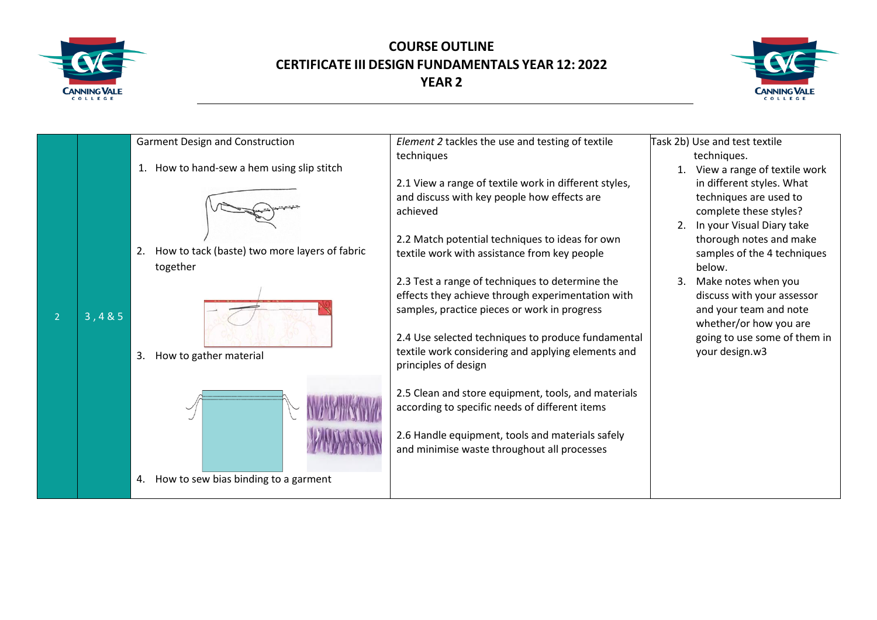



|       | Garment Design and Construction                     | Element 2 tackles the use and testing of textile                                                     | Task 2b) Use and test textile                        |
|-------|-----------------------------------------------------|------------------------------------------------------------------------------------------------------|------------------------------------------------------|
|       |                                                     | techniques                                                                                           | techniques.                                          |
|       | 1. How to hand-sew a hem using slip stitch          |                                                                                                      | 1. View a range of textile work                      |
|       |                                                     | 2.1 View a range of textile work in different styles,                                                | in different styles. What                            |
|       |                                                     | and discuss with key people how effects are                                                          | techniques are used to                               |
|       |                                                     | achieved                                                                                             | complete these styles?                               |
|       |                                                     |                                                                                                      | 2. In your Visual Diary take                         |
|       |                                                     | 2.2 Match potential techniques to ideas for own                                                      | thorough notes and make                              |
|       | How to tack (baste) two more layers of fabric<br>2. | textile work with assistance from key people                                                         | samples of the 4 techniques                          |
|       | together                                            |                                                                                                      | below.                                               |
|       |                                                     | 2.3 Test a range of techniques to determine the<br>effects they achieve through experimentation with | 3. Make notes when you<br>discuss with your assessor |
|       |                                                     | samples, practice pieces or work in progress                                                         | and your team and note                               |
| 3,485 |                                                     |                                                                                                      | whether/or how you are                               |
|       |                                                     | 2.4 Use selected techniques to produce fundamental                                                   | going to use some of them in                         |
|       |                                                     | textile work considering and applying elements and                                                   | your design.w3                                       |
|       | How to gather material<br>3.                        | principles of design                                                                                 |                                                      |
|       |                                                     |                                                                                                      |                                                      |
|       |                                                     | 2.5 Clean and store equipment, tools, and materials                                                  |                                                      |
|       |                                                     | according to specific needs of different items                                                       |                                                      |
|       |                                                     |                                                                                                      |                                                      |
|       |                                                     | 2.6 Handle equipment, tools and materials safely                                                     |                                                      |
|       |                                                     | and minimise waste throughout all processes                                                          |                                                      |
|       |                                                     |                                                                                                      |                                                      |
|       | How to sew bias binding to a garment<br>4.          |                                                                                                      |                                                      |
|       |                                                     |                                                                                                      |                                                      |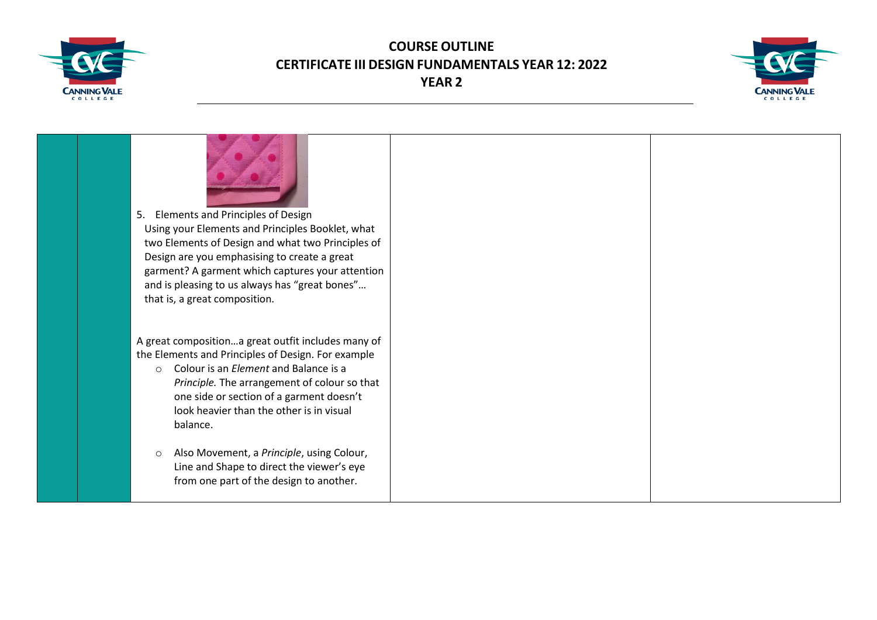



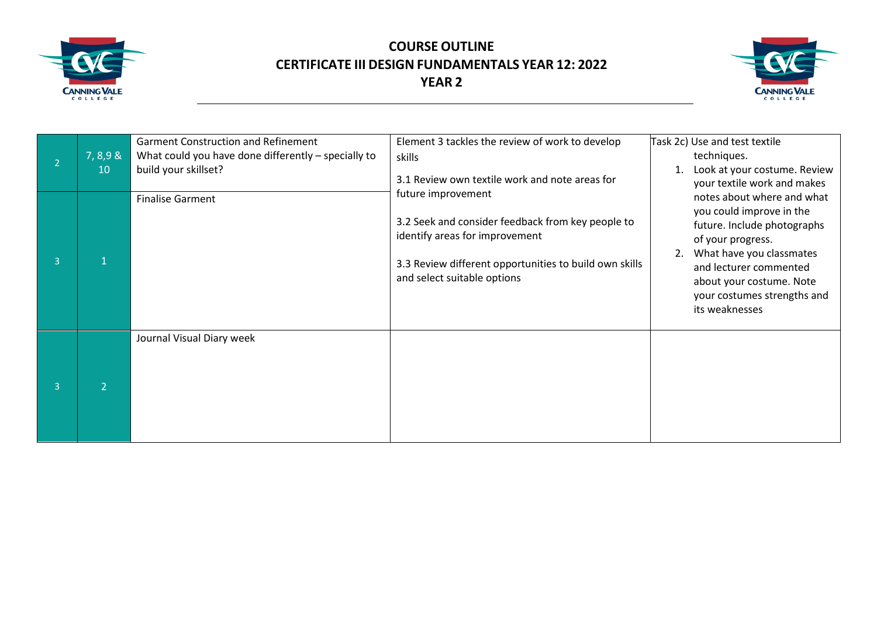



|                | 7,8,98<br>10 | <b>Garment Construction and Refinement</b><br>What could you have done differently - specially to<br>build your skillset? | Element 3 tackles the review of work to develop<br>skills<br>3.1 Review own textile work and note areas for                                                                                        | Task 2c) Use and test textile<br>techniques.<br>Look at your costume. Review<br>your textile work and makes                                                                                                                                         |
|----------------|--------------|---------------------------------------------------------------------------------------------------------------------------|----------------------------------------------------------------------------------------------------------------------------------------------------------------------------------------------------|-----------------------------------------------------------------------------------------------------------------------------------------------------------------------------------------------------------------------------------------------------|
| $\overline{3}$ |              | <b>Finalise Garment</b>                                                                                                   | future improvement<br>3.2 Seek and consider feedback from key people to<br>identify areas for improvement<br>3.3 Review different opportunities to build own skills<br>and select suitable options | notes about where and what<br>you could improve in the<br>future. Include photographs<br>of your progress.<br>What have you classmates<br>2.<br>and lecturer commented<br>about your costume. Note<br>your costumes strengths and<br>its weaknesses |
| $\overline{3}$ |              | Journal Visual Diary week                                                                                                 |                                                                                                                                                                                                    |                                                                                                                                                                                                                                                     |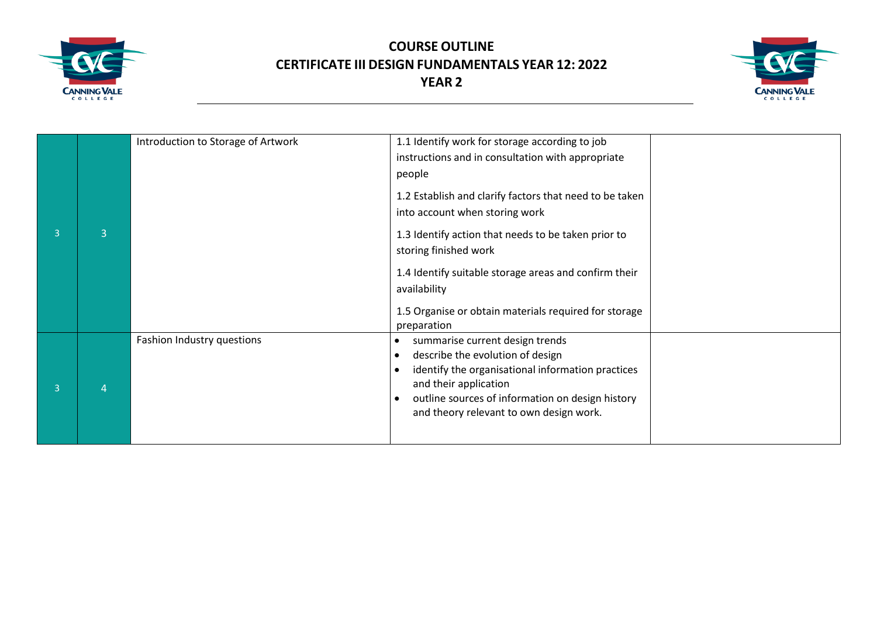



| 3 | 3 | Introduction to Storage of Artwork | 1.1 Identify work for storage according to job<br>instructions and in consultation with appropriate<br>people<br>1.2 Establish and clarify factors that need to be taken<br>into account when storing work<br>1.3 Identify action that needs to be taken prior to<br>storing finished work<br>1.4 Identify suitable storage areas and confirm their<br>availability<br>1.5 Organise or obtain materials required for storage<br>preparation |  |
|---|---|------------------------------------|---------------------------------------------------------------------------------------------------------------------------------------------------------------------------------------------------------------------------------------------------------------------------------------------------------------------------------------------------------------------------------------------------------------------------------------------|--|
| 3 |   | Fashion Industry questions         | summarise current design trends<br>$\bullet$<br>describe the evolution of design<br>$\bullet$<br>identify the organisational information practices<br>$\bullet$<br>and their application<br>outline sources of information on design history<br>$\bullet$<br>and theory relevant to own design work.                                                                                                                                        |  |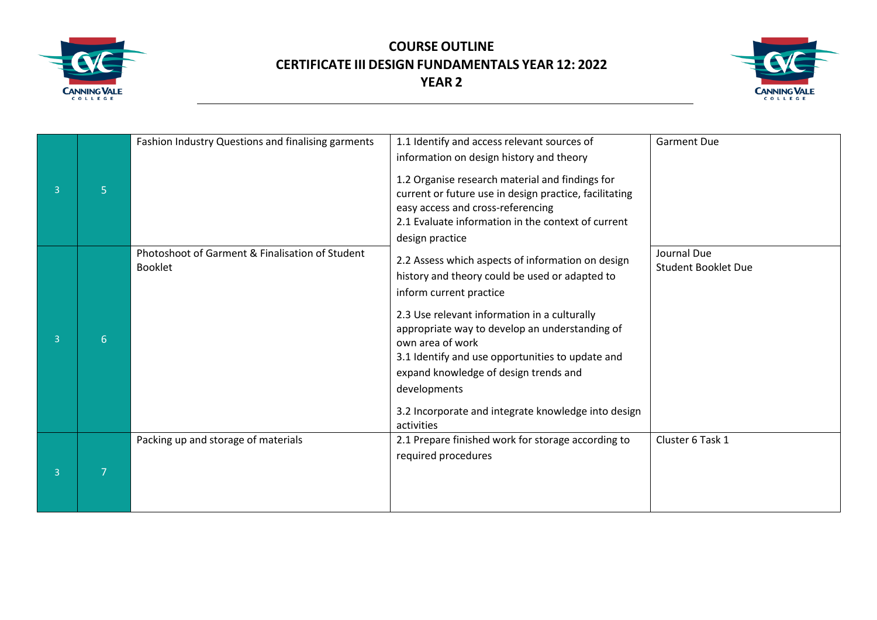



| 3              | 5 | Fashion Industry Questions and finalising garments                | 1.1 Identify and access relevant sources of<br>information on design history and theory<br>1.2 Organise research material and findings for<br>current or future use in design practice, facilitating<br>easy access and cross-referencing<br>2.1 Evaluate information in the context of current                                                                                                                                                           | <b>Garment Due</b>                        |
|----------------|---|-------------------------------------------------------------------|-----------------------------------------------------------------------------------------------------------------------------------------------------------------------------------------------------------------------------------------------------------------------------------------------------------------------------------------------------------------------------------------------------------------------------------------------------------|-------------------------------------------|
| $\overline{3}$ | 6 | Photoshoot of Garment & Finalisation of Student<br><b>Booklet</b> | design practice<br>2.2 Assess which aspects of information on design<br>history and theory could be used or adapted to<br>inform current practice<br>2.3 Use relevant information in a culturally<br>appropriate way to develop an understanding of<br>own area of work<br>3.1 Identify and use opportunities to update and<br>expand knowledge of design trends and<br>developments<br>3.2 Incorporate and integrate knowledge into design<br>activities | Journal Due<br><b>Student Booklet Due</b> |
| $\overline{3}$ |   | Packing up and storage of materials                               | 2.1 Prepare finished work for storage according to<br>required procedures                                                                                                                                                                                                                                                                                                                                                                                 | Cluster 6 Task 1                          |